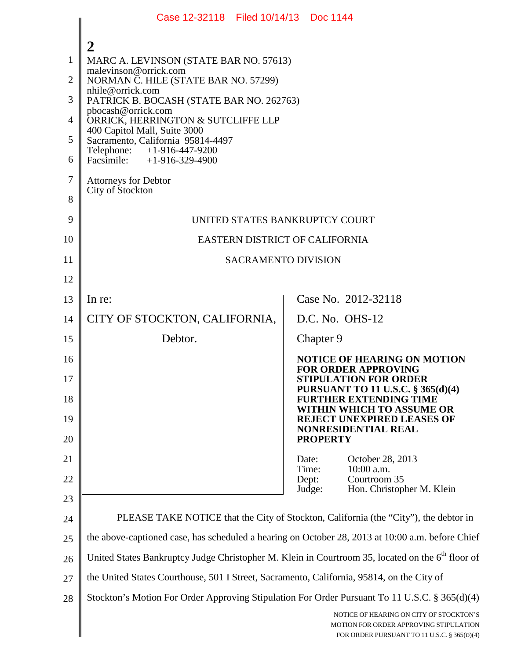|                                              | Case 12-32118 Filed 10/14/13 Doc 1144                                                                                                                                                                                                                                                                                                                                                                      |                                                                                                                                  |  |  |  |
|----------------------------------------------|------------------------------------------------------------------------------------------------------------------------------------------------------------------------------------------------------------------------------------------------------------------------------------------------------------------------------------------------------------------------------------------------------------|----------------------------------------------------------------------------------------------------------------------------------|--|--|--|
| 1<br>$\overline{2}$<br>3<br>4<br>5<br>6<br>7 | 2<br>MARC A. LEVINSON (STATE BAR NO. 57613)<br>malevinson@orrick.com<br>NORMAN C. HILE (STATE BAR NO. 57299)<br>nhile@orrick.com<br>PATRICK B. BOCASH (STATE BAR NO. 262763)<br>pbocash@orrick.com<br>ORRICK, HERRINGTON & SUTCLIFFE LLP<br>400 Capitol Mall, Suite 3000<br>Sacramento, California 95814-4497<br>Telephone: +1-916-447-9200<br>Facsimile: $+1-916-329-4900$<br><b>Attorneys for Debtor</b> |                                                                                                                                  |  |  |  |
| 8                                            | City of Stockton                                                                                                                                                                                                                                                                                                                                                                                           |                                                                                                                                  |  |  |  |
| 9                                            | UNITED STATES BANKRUPTCY COURT                                                                                                                                                                                                                                                                                                                                                                             |                                                                                                                                  |  |  |  |
| 10                                           | <b>EASTERN DISTRICT OF CALIFORNIA</b>                                                                                                                                                                                                                                                                                                                                                                      |                                                                                                                                  |  |  |  |
| 11                                           | <b>SACRAMENTO DIVISION</b>                                                                                                                                                                                                                                                                                                                                                                                 |                                                                                                                                  |  |  |  |
| 12                                           |                                                                                                                                                                                                                                                                                                                                                                                                            |                                                                                                                                  |  |  |  |
| 13                                           | In re:                                                                                                                                                                                                                                                                                                                                                                                                     | Case No. 2012-32118                                                                                                              |  |  |  |
| 14                                           | CITY OF STOCKTON, CALIFORNIA,                                                                                                                                                                                                                                                                                                                                                                              | D.C. No. OHS-12                                                                                                                  |  |  |  |
| 15                                           | Debtor.                                                                                                                                                                                                                                                                                                                                                                                                    | Chapter 9                                                                                                                        |  |  |  |
| 16<br>17                                     |                                                                                                                                                                                                                                                                                                                                                                                                            | <b>NOTICE OF HEARING ON MOTION</b><br><b>FOR ORDER APPROVING</b><br><b>STIPULATION FOR ORDER</b>                                 |  |  |  |
| 18                                           |                                                                                                                                                                                                                                                                                                                                                                                                            | <b>PURSUANT TO 11 U.S.C. § 365(d)(4)</b><br><b>FURTHER EXTENDING TIME</b><br>WITHIN WHICH TO ASSUME OR                           |  |  |  |
| 19<br>20                                     |                                                                                                                                                                                                                                                                                                                                                                                                            | <b>REJECT UNEXPIRED LEASES OF</b><br>NONRESIDENTIAL REAL<br><b>PROPERTY</b>                                                      |  |  |  |
| 21                                           |                                                                                                                                                                                                                                                                                                                                                                                                            | October 28, 2013<br>Date:                                                                                                        |  |  |  |
| 22                                           |                                                                                                                                                                                                                                                                                                                                                                                                            | 10:00 a.m.<br>Time:<br>Courtroom 35<br>Dept:                                                                                     |  |  |  |
| 23                                           |                                                                                                                                                                                                                                                                                                                                                                                                            | Hon. Christopher M. Klein<br>Judge:                                                                                              |  |  |  |
| 24                                           | PLEASE TAKE NOTICE that the City of Stockton, California (the "City"), the debtor in                                                                                                                                                                                                                                                                                                                       |                                                                                                                                  |  |  |  |
| 25                                           | the above-captioned case, has scheduled a hearing on October 28, 2013 at 10:00 a.m. before Chief                                                                                                                                                                                                                                                                                                           |                                                                                                                                  |  |  |  |
| 26                                           | United States Bankruptcy Judge Christopher M. Klein in Courtroom 35, located on the 6 <sup>th</sup> floor of                                                                                                                                                                                                                                                                                               |                                                                                                                                  |  |  |  |
| 27                                           | the United States Courthouse, 501 I Street, Sacramento, California, 95814, on the City of                                                                                                                                                                                                                                                                                                                  |                                                                                                                                  |  |  |  |
| 28                                           | Stockton's Motion For Order Approving Stipulation For Order Pursuant To 11 U.S.C. § 365(d)(4)                                                                                                                                                                                                                                                                                                              |                                                                                                                                  |  |  |  |
|                                              |                                                                                                                                                                                                                                                                                                                                                                                                            | NOTICE OF HEARING ON CITY OF STOCKTON'S<br>MOTION FOR ORDER APPROVING STIPULATION<br>FOR ORDER PURSUANT TO 11 U.S.C. § 365(D)(4) |  |  |  |